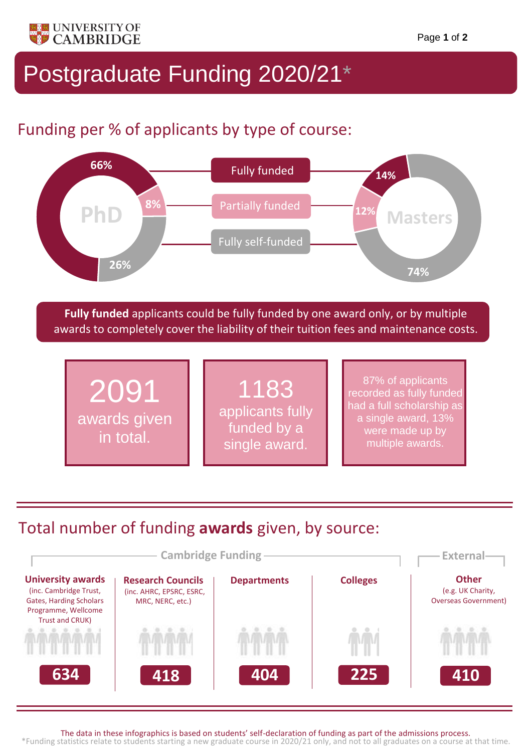

## Postgraduate Funding 2020/21\*

## Funding per % of applicants by type of course:



**Fully funded** applicants could be fully funded by one award only, or by multiple awards to completely cover the liability of their tuition fees and maintenance costs.



## Total number of funding **awards** given, by source:



The data in these infographics is based on students' self-declaration of funding as part of the admissions process.